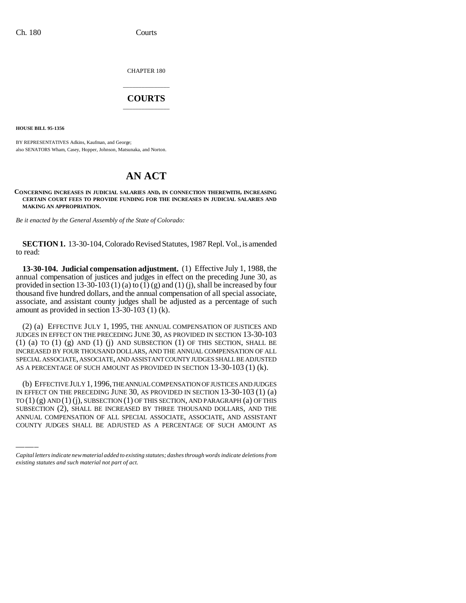CHAPTER 180

# \_\_\_\_\_\_\_\_\_\_\_\_\_\_\_ **COURTS** \_\_\_\_\_\_\_\_\_\_\_\_\_\_\_

**HOUSE BILL 95-1356**

BY REPRESENTATIVES Adkins, Kaufman, and George; also SENATORS Wham, Casey, Hopper, Johnson, Matsunaka, and Norton.

# **AN ACT**

**CONCERNING INCREASES IN JUDICIAL SALARIES AND, IN CONNECTION THEREWITH, INCREASING CERTAIN COURT FEES TO PROVIDE FUNDING FOR THE INCREASES IN JUDICIAL SALARIES AND MAKING AN APPROPRIATION.**

*Be it enacted by the General Assembly of the State of Colorado:*

**SECTION 1.** 13-30-104, Colorado Revised Statutes, 1987 Repl. Vol., is amended to read:

**13-30-104. Judicial compensation adjustment.** (1) Effective July 1, 1988, the annual compensation of justices and judges in effect on the preceding June 30, as provided in section 13-30-103 (1) (a) to (1) (g) and (1) (j), shall be increased by four thousand five hundred dollars, and the annual compensation of all special associate, associate, and assistant county judges shall be adjusted as a percentage of such amount as provided in section 13-30-103 (1) (k).

(2) (a) EFFECTIVE JULY 1, 1995, THE ANNUAL COMPENSATION OF JUSTICES AND JUDGES IN EFFECT ON THE PRECEDING JUNE 30, AS PROVIDED IN SECTION 13-30-103  $(1)$   $(a)$  to  $(1)$   $(g)$  and  $(1)$   $(j)$  and subsection  $(1)$  of this section, shall be INCREASED BY FOUR THOUSAND DOLLARS, AND THE ANNUAL COMPENSATION OF ALL SPECIAL ASSOCIATE, ASSOCIATE, AND ASSISTANT COUNTY JUDGES SHALL BE ADJUSTED AS A PERCENTAGE OF SUCH AMOUNT AS PROVIDED IN SECTION 13-30-103 (1) (k).

IN EFFECT ON THE PRECEDING JUNE 30, AS PROVIDED IN SECTION 13-30-103 (1) (a) (b) EFFECTIVE JULY 1,1996, THE ANNUAL COMPENSATION OF JUSTICES AND JUDGES  $TO(1)(g)$  AND $(1)(j)$ , SUBSECTION $(1)$  OF THIS SECTION, AND PARAGRAPH $(a)$  OF THIS SUBSECTION (2), SHALL BE INCREASED BY THREE THOUSAND DOLLARS, AND THE ANNUAL COMPENSATION OF ALL SPECIAL ASSOCIATE, ASSOCIATE, AND ASSISTANT COUNTY JUDGES SHALL BE ADJUSTED AS A PERCENTAGE OF SUCH AMOUNT AS

*Capital letters indicate new material added to existing statutes; dashes through words indicate deletions from existing statutes and such material not part of act.*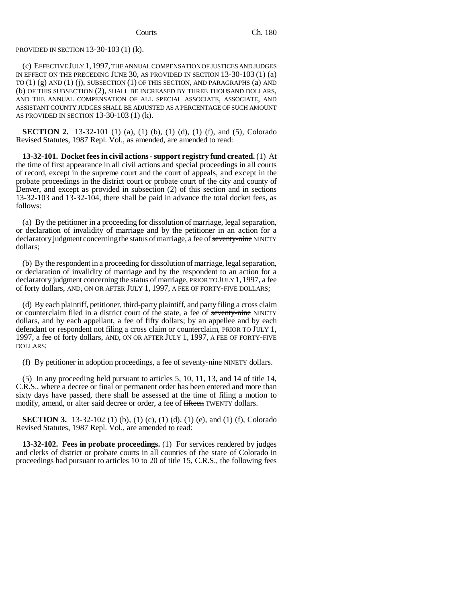### PROVIDED IN SECTION 13-30-103 (1) (k).

(c) EFFECTIVE JULY 1,1997, THE ANNUAL COMPENSATION OF JUSTICES AND JUDGES IN EFFECT ON THE PRECEDING JUNE 30, AS PROVIDED IN SECTION 13-30-103 (1) (a) TO (1) (g) AND (1) (j), SUBSECTION (1) OF THIS SECTION, AND PARAGRAPHS (a) AND (b) OF THIS SUBSECTION (2), SHALL BE INCREASED BY THREE THOUSAND DOLLARS, AND THE ANNUAL COMPENSATION OF ALL SPECIAL ASSOCIATE, ASSOCIATE, AND ASSISTANT COUNTY JUDGES SHALL BE ADJUSTED AS A PERCENTAGE OF SUCH AMOUNT AS PROVIDED IN SECTION 13-30-103 (1) (k).

**SECTION 2.** 13-32-101 (1) (a), (1) (b), (1) (d), (1) (f), and (5), Colorado Revised Statutes, 1987 Repl. Vol., as amended, are amended to read:

**13-32-101. Docket fees in civil actions - support registry fund created.** (1) At the time of first appearance in all civil actions and special proceedings in all courts of record, except in the supreme court and the court of appeals, and except in the probate proceedings in the district court or probate court of the city and county of Denver, and except as provided in subsection (2) of this section and in sections 13-32-103 and 13-32-104, there shall be paid in advance the total docket fees, as follows:

(a) By the petitioner in a proceeding for dissolution of marriage, legal separation, or declaration of invalidity of marriage and by the petitioner in an action for a declaratory judgment concerning the status of marriage, a fee of seventy-nine NINETY dollars;

(b) By the respondent in a proceeding for dissolution of marriage, legal separation, or declaration of invalidity of marriage and by the respondent to an action for a declaratory judgment concerning the status of marriage, PRIOR TO JULY 1, 1997, a fee of forty dollars, AND, ON OR AFTER JULY 1, 1997, A FEE OF FORTY-FIVE DOLLARS;

(d) By each plaintiff, petitioner, third-party plaintiff, and party filing a cross claim or counterclaim filed in a district court of the state, a fee of seventy-nine NINETY dollars, and by each appellant, a fee of fifty dollars; by an appellee and by each defendant or respondent not filing a cross claim or counterclaim, PRIOR TO JULY 1, 1997, a fee of forty dollars, AND, ON OR AFTER JULY 1, 1997, A FEE OF FORTY-FIVE DOLLARS;

(f) By petitioner in adoption proceedings, a fee of seventy-nine NINETY dollars.

(5) In any proceeding held pursuant to articles 5, 10, 11, 13, and 14 of title 14, C.R.S., where a decree or final or permanent order has been entered and more than sixty days have passed, there shall be assessed at the time of filing a motion to modify, amend, or alter said decree or order, a fee of fifteen TWENTY dollars.

**SECTION 3.** 13-32-102 (1) (b), (1) (c), (1) (d), (1) (e), and (1) (f), Colorado Revised Statutes, 1987 Repl. Vol., are amended to read:

**13-32-102. Fees in probate proceedings.** (1) For services rendered by judges and clerks of district or probate courts in all counties of the state of Colorado in proceedings had pursuant to articles 10 to 20 of title 15, C.R.S., the following fees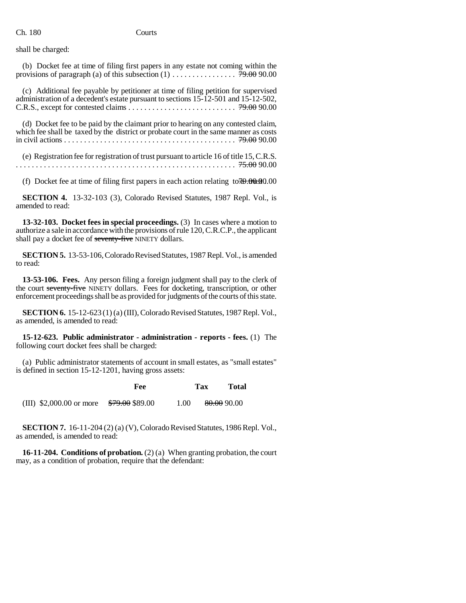Ch. 180 Courts

shall be charged:

(b) Docket fee at time of filing first papers in any estate not coming within the provisions of paragraph (a) of this subsection (1) . . . . . . . . . . . . . . . . 79.00 90.00

(c) Additional fee payable by petitioner at time of filing petition for supervised administration of a decedent's estate pursuant to sections 15-12-501 and 15-12-502, C.R.S., except for contested claims . . . . . . . . . . . . . . . . . . . . . . . . . . . 79.00 90.00

(d) Docket fee to be paid by the claimant prior to hearing on any contested claim, which fee shall be taxed by the district or probate court in the same manner as costs in civil actions . . . . . . . . . . . . . . . . . . . . . . . . . . . . . . . . . . . . . . . . . . . 79.00 90.00

(e) Registration fee for registration of trust pursuant to article 16 of title 15, C.R.S. ....................................................... 75.00 90.00

(f) Docket fee at time of filing first papers in each action relating to  $70.00$ 

**SECTION 4.** 13-32-103 (3), Colorado Revised Statutes, 1987 Repl. Vol., is amended to read:

**13-32-103. Docket fees in special proceedings.** (3) In cases where a motion to authorize a sale in accordance with the provisions of rule 120, C.R.C.P., the applicant shall pay a docket fee of seventy-five NINETY dollars.

**SECTION 5.** 13-53-106, Colorado Revised Statutes, 1987 Repl. Vol., is amended to read:

**13-53-106. Fees.** Any person filing a foreign judgment shall pay to the clerk of the court seventy-five NINETY dollars. Fees for docketing, transcription, or other enforcement proceedings shall be as provided for judgments of the courts of this state.

**SECTION 6.** 15-12-623 (1) (a) (III), Colorado Revised Statutes, 1987 Repl. Vol., as amended, is amended to read:

**15-12-623. Public administrator - administration - reports - fees.** (1) The following court docket fees shall be charged:

(a) Public administrator statements of account in small estates, as "small estates" is defined in section 15-12-1201, having gross assets:

**Fee Tax Total** (III)  $$2,000.00$  or more  $$79.00$   $$89.00$  1.00  $80.00$  90.00

**SECTION 7.** 16-11-204 (2) (a) (V), Colorado Revised Statutes, 1986 Repl. Vol., as amended, is amended to read:

**16-11-204. Conditions of probation.** (2) (a) When granting probation, the court may, as a condition of probation, require that the defendant: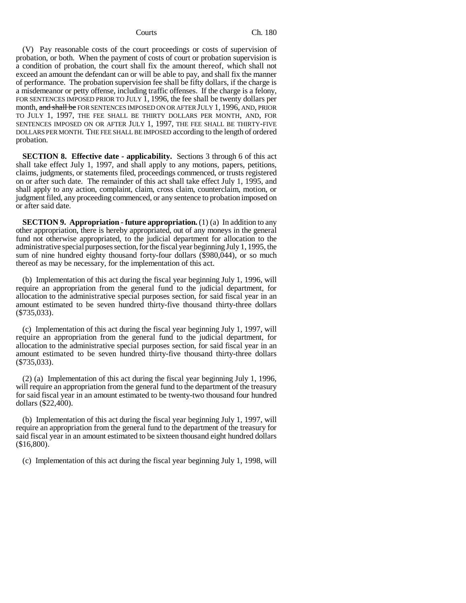(V) Pay reasonable costs of the court proceedings or costs of supervision of probation, or both. When the payment of costs of court or probation supervision is a condition of probation, the court shall fix the amount thereof, which shall not exceed an amount the defendant can or will be able to pay, and shall fix the manner of performance. The probation supervision fee shall be fifty dollars, if the charge is a misdemeanor or petty offense, including traffic offenses. If the charge is a felony, FOR SENTENCES IMPOSED PRIOR TO JULY 1, 1996, the fee shall be twenty dollars per month, and shall be FOR SENTENCES IMPOSED ON OR AFTER JULY 1, 1996, AND, PRIOR TO JULY 1, 1997, THE FEE SHALL BE THIRTY DOLLARS PER MONTH, AND, FOR SENTENCES IMPOSED ON OR AFTER JULY 1, 1997, THE FEE SHALL BE THIRTY-FIVE DOLLARS PER MONTH. THE FEE SHALL BE IMPOSED according to the length of ordered probation.

**SECTION 8. Effective date - applicability.** Sections 3 through 6 of this act shall take effect July 1, 1997, and shall apply to any motions, papers, petitions, claims, judgments, or statements filed, proceedings commenced, or trusts registered on or after such date. The remainder of this act shall take effect July 1, 1995, and shall apply to any action, complaint, claim, cross claim, counterclaim, motion, or judgment filed, any proceeding commenced, or any sentence to probation imposed on or after said date.

**SECTION 9. Appropriation - future appropriation.** (1) (a) In addition to any other appropriation, there is hereby appropriated, out of any moneys in the general fund not otherwise appropriated, to the judicial department for allocation to the administrative special purposes section, for the fiscal year beginning July 1, 1995, the sum of nine hundred eighty thousand forty-four dollars (\$980,044), or so much thereof as may be necessary, for the implementation of this act.

(b) Implementation of this act during the fiscal year beginning July 1, 1996, will require an appropriation from the general fund to the judicial department, for allocation to the administrative special purposes section, for said fiscal year in an amount estimated to be seven hundred thirty-five thousand thirty-three dollars (\$735,033).

(c) Implementation of this act during the fiscal year beginning July 1, 1997, will require an appropriation from the general fund to the judicial department, for allocation to the administrative special purposes section, for said fiscal year in an amount estimated to be seven hundred thirty-five thousand thirty-three dollars (\$735,033).

(2) (a) Implementation of this act during the fiscal year beginning July 1, 1996, will require an appropriation from the general fund to the department of the treasury for said fiscal year in an amount estimated to be twenty-two thousand four hundred dollars (\$22,400).

(b) Implementation of this act during the fiscal year beginning July 1, 1997, will require an appropriation from the general fund to the department of the treasury for said fiscal year in an amount estimated to be sixteen thousand eight hundred dollars (\$16,800).

(c) Implementation of this act during the fiscal year beginning July 1, 1998, will